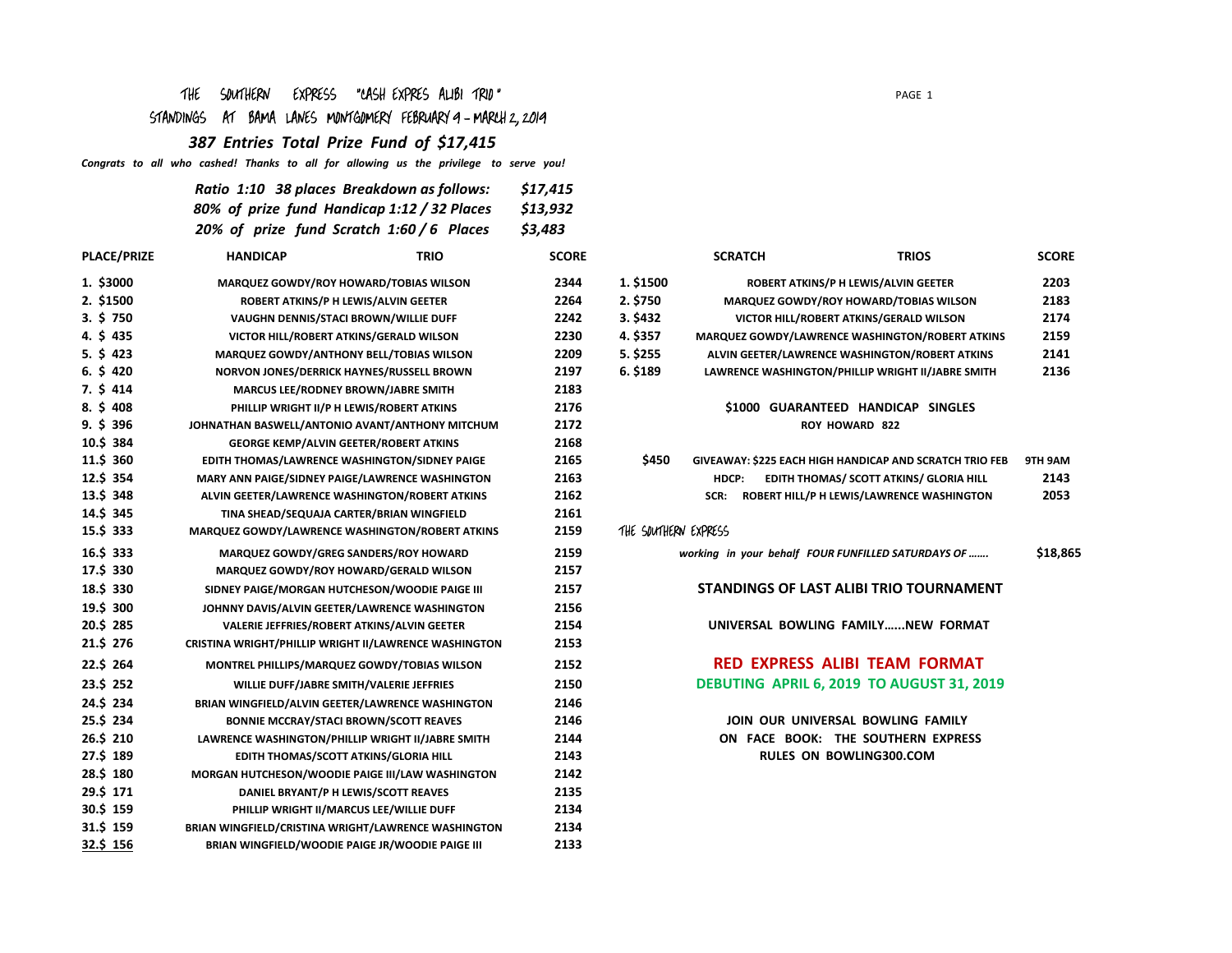## THE SOUTHERN EXPRESS "CASH EXPRES ALIBI TRIO "

# STANDINGS AT BAMA LANES MONTGOMERY FEBRUARY 9 - MARCH 2, 2019

*387 Entries Total Prize Fund of \$17,415*

*Congrats to all who cashed! Thanks to all for allowing us the privilege to serve you!* 

| Ratio 1:10 38 places Breakdown as follows:  | \$17,415 |
|---------------------------------------------|----------|
| 80% of prize fund Handicap 1:12 / 32 Places | \$13,932 |
| 20% of prize fund Scratch 1:60 / 6 Places   | \$3,483  |

| <b>PLACE/PRIZE</b> | <b>HANDICAP</b>                                        | <b>TRIO</b> | <b>SCORE</b> |                      | <b>SCRATCH</b>                       | <b>TRIOS</b>                                            | <b>SCORE</b> |
|--------------------|--------------------------------------------------------|-------------|--------------|----------------------|--------------------------------------|---------------------------------------------------------|--------------|
| 1. \$3000          | MARQUEZ GOWDY/ROY HOWARD/TOBIAS WILSON                 |             | 2344         | 1. \$1500            | ROBERT ATKINS/P H LEWIS/ALVIN GEETER |                                                         | 2203         |
| 2. \$1500          | ROBERT ATKINS/P H LEWIS/ALVIN GEETER                   |             | 2264         | 2. \$750             |                                      | <b>MARQUEZ GOWDY/ROY HOWARD/TOBIAS WILSON</b>           | 2183         |
| 3.5750             | VAUGHN DENNIS/STACI BROWN/WILLIE DUFF                  |             | 2242         | 3. \$432             |                                      | VICTOR HILL/ROBERT ATKINS/GERALD WILSON                 | 2174         |
| 4. \$435           | VICTOR HILL/ROBERT ATKINS/GERALD WILSON                |             | 2230         | 4. \$357             |                                      | MARQUEZ GOWDY/LAWRENCE WASHINGTON/ROBERT ATKINS         | 2159         |
| $5. \S$ 423        | <b>MARQUEZ GOWDY/ANTHONY BELL/TOBIAS WILSON</b>        |             | 2209         | 5. \$255             |                                      | ALVIN GEETER/LAWRENCE WASHINGTON/ROBERT ATKINS          | 2141         |
| 6.5420             | NORVON JONES/DERRICK HAYNES/RUSSELL BROWN              |             | 2197         | 6. \$189             |                                      | LAWRENCE WASHINGTON/PHILLIP WRIGHT II/JABRE SMITH       | 2136         |
| $7. \S$ 414        | MARCUS LEE/RODNEY BROWN/JABRE SMITH                    |             | 2183         |                      |                                      |                                                         |              |
| 8.5408             | PHILLIP WRIGHT II/P H LEWIS/ROBERT ATKINS              |             | 2176         |                      |                                      | \$1000 GUARANTEED HANDICAP SINGLES                      |              |
| 9.5396             | JOHNATHAN BASWELL/ANTONIO AVANT/ANTHONY MITCHUM        |             | 2172         |                      |                                      | <b>ROY HOWARD 822</b>                                   |              |
| 10.\$ 384          | <b>GEORGE KEMP/ALVIN GEETER/ROBERT ATKINS</b>          |             | 2168         |                      |                                      |                                                         |              |
| 11.\$ 360          | EDITH THOMAS/LAWRENCE WASHINGTON/SIDNEY PAIGE          |             | 2165         | \$450                |                                      | GIVEAWAY: \$225 EACH HIGH HANDICAP AND SCRATCH TRIO FEB | 9TH 9AM      |
| 12.\$ 354          | MARY ANN PAIGE/SIDNEY PAIGE/LAWRENCE WASHINGTON        |             | 2163         |                      | HDCP:                                | EDITH THOMAS/ SCOTT ATKINS/ GLORIA HILL                 | 2143         |
| 13.5 348           | ALVIN GEETER/LAWRENCE WASHINGTON/ROBERT ATKINS         |             | 2162         |                      | SCR:                                 | ROBERT HILL/P H LEWIS/LAWRENCE WASHINGTON               | 2053         |
| 14.\$ 345          | TINA SHEAD/SEQUAJA CARTER/BRIAN WINGFIELD              |             | 2161         |                      |                                      |                                                         |              |
| 15.\$ 333          | <b>MARQUEZ GOWDY/LAWRENCE WASHINGTON/ROBERT ATKINS</b> |             | 2159         | THE SOUTHERN EXPRESS |                                      |                                                         |              |
| 16.\$ 333          | <b>MARQUEZ GOWDY/GREG SANDERS/ROY HOWARD</b>           |             | 2159         |                      |                                      | working in your behalf FOUR FUNFILLED SATURDAYS OF      | \$18,865     |
| 17.\$ 330          | MARQUEZ GOWDY/ROY HOWARD/GERALD WILSON                 |             | 2157         |                      |                                      |                                                         |              |
| 18.5 330           | SIDNEY PAIGE/MORGAN HUTCHESON/WOODIE PAIGE III         |             | 2157         |                      |                                      | STANDINGS OF LAST ALIBI TRIO TOURNAMENT                 |              |
| 19.\$ 300          | JOHNNY DAVIS/ALVIN GEETER/LAWRENCE WASHINGTON          |             | 2156         |                      |                                      |                                                         |              |
| 20.\$ 285          | VALERIE JEFFRIES/ROBERT ATKINS/ALVIN GEETER            |             | 2154         |                      |                                      | UNIVERSAL BOWLING FAMILYNEW FORMAT                      |              |
| 21.\$ 276          | CRISTINA WRIGHT/PHILLIP WRIGHT II/LAWRENCE WASHINGTON  |             | 2153         |                      |                                      |                                                         |              |
| 22.5 264           | MONTREL PHILLIPS/MARQUEZ GOWDY/TOBIAS WILSON           |             | 2152         |                      |                                      | <b>RED EXPRESS ALIBI TEAM FORMAT</b>                    |              |
| 23.\$ 252          | WILLIE DUFF/JABRE SMITH/VALERIE JEFFRIES               |             | 2150         |                      |                                      | DEBUTING APRIL 6, 2019 TO AUGUST 31, 2019               |              |
| 24.\$ 234          | BRIAN WINGFIELD/ALVIN GEETER/LAWRENCE WASHINGTON       |             | 2146         |                      |                                      |                                                         |              |
| 25.\$ 234          | <b>BONNIE MCCRAY/STACI BROWN/SCOTT REAVES</b>          |             | 2146         |                      |                                      | JOIN OUR UNIVERSAL BOWLING FAMILY                       |              |
| 26.\$ 210          | LAWRENCE WASHINGTON/PHILLIP WRIGHT II/JABRE SMITH      |             | 2144         |                      |                                      | ON FACE BOOK: THE SOUTHERN EXPRESS                      |              |
| 27.\$ 189          | EDITH THOMAS/SCOTT ATKINS/GLORIA HILL                  |             | 2143         |                      |                                      | <b>RULES ON BOWLING300.COM</b>                          |              |
| 28.\$180           | MORGAN HUTCHESON/WOODIE PAIGE III/LAW WASHINGTON       |             | 2142         |                      |                                      |                                                         |              |
| 29.\$ 171          | DANIEL BRYANT/P H LEWIS/SCOTT REAVES                   |             | 2135         |                      |                                      |                                                         |              |
| 30.\$ 159          | PHILLIP WRIGHT II/MARCUS LEE/WILLIE DUFF               |             | 2134         |                      |                                      |                                                         |              |
| 31.\$ 159          | BRIAN WINGFIELD/CRISTINA WRIGHT/LAWRENCE WASHINGTON    |             | 2134         |                      |                                      |                                                         |              |
| 32.5 156           | BRIAN WINGFIELD/WOODIE PAIGE JR/WOODIE PAIGE III       |             | 2133         |                      |                                      |                                                         |              |

|--|--|

|             | <b>SCRATCH</b>                                    | <b>TRIOS</b> | <b>SCORE</b> |
|-------------|---------------------------------------------------|--------------|--------------|
| <b>1500</b> | <b>ROBERT ATKINS/P H LEWIS/ALVIN GEETER</b>       |              | 2203         |
| 750         | <b>MARQUEZ GOWDY/ROY HOWARD/TOBIAS WILSON</b>     |              | 2183         |
| 132         | VICTOR HILL/ROBERT ATKINS/GERALD WILSON           |              | 2174         |
| 357         | MARQUEZ GOWDY/LAWRENCE WASHINGTON/ROBERT ATKINS   |              | 2159         |
| 255         | ALVIN GEETER/LAWRENCE WASHINGTON/ROBERT ATKINS    |              | 2141         |
| L89         | LAWRENCE WASHINGTON/PHILLIP WRIGHT II/JABRE SMITH |              | 2136         |
|             |                                                   |              |              |

#### **\$1000 GUARANTEED HANDICAP SINGLES ROY HOWARD 822**

| \$450 |       | <b>GIVEAWAY: \$225 EACH HIGH HANDICAP AND SCRATCH TRIO FEB</b> | 9TH 9AM |
|-------|-------|----------------------------------------------------------------|---------|
|       | HDCP: | EDITH THOMAS/ SCOTT ATKINS/ GLORIA HILL                        | 2143    |
|       | SCR:  | <b>ROBERT HILL/P H LEWIS/LAWRENCE WASHINGTON</b>               | 2053    |

### THE SOUTHERN EXPRESS

## **DEBUTING APRIL 6, 2019 TO AUGUST 31, 2019 RED EXPRESS ALIBI TEAM FORMAT**